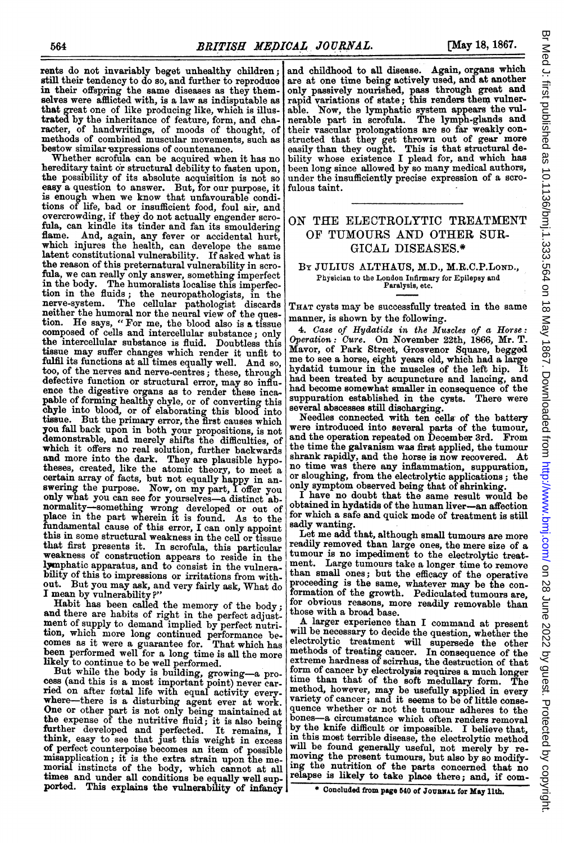rents do not invariably beget unhealthy children; still their tendency to do so, and further to reproduce in their offspring the same diseases as they themselves were afflicted with, is a law as indisputable as that great one of like producing like, which is illus trated by the inheritance of feature, form, and character, of handwritings, of moods of thought, of methods of combined muscular movements, such as bestow similar expressions of countenance.

Whether scrofula can be acquired when it has no hereditary taint or structural debility to fasten upon, the possibility of its absolute acquisition is not so easy a question to answer. But, for our purpose, it is enough when we know that unfavourable condi tions of life, bad or insufficient food, foul air, and overcrowding, if they do not actually engender scro-fula, can kindle its tinder and fan its smouldering flame. And, again, any fever or accidental hurt,<br>which injures the health, can develope the same<br>latent constitutional vulnerability. If asked what is the reason of this preternatural vulnerability in scro-fula, we can really only answer, something imperfect fula, we can really only answer, something imperfect in the body. The humoralists localise this imperfection in the fluids; the neuropathologists, in the nerve-system. The cellular pathologist discards nerve-system. The cellular pathologist discards neither the humoral nor the neural view of the question. He says, "For me, the blood also is a tissue composed of cells and intercellular substance; only the intercellular substance is fluid. Doubtless this tissue may suffer changes which render it unfit to fulfil its functions at all times equally well. And so, too, of the nerves and nerve-centres; these, through defective function or structural error, may so influ-<br>ence the digestive organs as to render these incaence the digestive organs as to render these inca-<br>pable of forming healthy chyle, or of converting this<br>chyle into blood, or of elaborating this blood into<br>tissue. But the primary error, the first causes which you fall back upon in both your propositions, is not demonstrable, and merely shifts the difficulties, of which it offers no real solution, further backwards and more into the dark. They are plausible hypotheses, created, like the atomic theory, to meet a certain array of facts, but not equally happy in an-<br>swering the purpose. Now, on my part, I offer you only what you can see for yourselves-a distinct ab-<br>normality-something wrong developed or out of<br>place in the part wherein it is found. As to the<br>fundamental cause of this error, I can only appoint<br>this in some structural that first presents it. In scrofula, this particular weakness of construction appears to reside in the lymphatic apparatus, and to consist in the vulnerability of this to impressions or irritations from without. But you may ask, and very fairly ask, What do I mean by vulnerability ?"

Habit has been called the memory of the body; and there are habits of right in the perfect adjustment of supply to demand implied by perfect nutri tion, which more long continued performance be-comes as it were <sup>a</sup> guarantee for. That which has been performed well for <sup>a</sup> long time is all the more likely to continue to be well performed.

But while the body is building, growing-a process (and this is a most important point) never carried on after fortal life with equal activity every-<br>where--there is a disturbing agent ever at work.<br>One or other part is not only being maintained at the expense of the nutritive fluid; it is also being further developed and perfected. It remains, I think, easy to see that just this weight in excess of perfect counterpoise becomes an item of possible misapplication; it is the extra strain upon the me-<br>morial instincts of the body, which cannot at all<br>times and under all conditions be equally well sup-<br>ported. This explains the vulnerability of infancy

and childhood to all disease. Again, organs which are at one time being actively used, and at another only passively nourished, pass through great and rapid variations of state; this renders them vulnerable. Wow, the lymphatic system appears the vul-nerable part in scrofula. The lymph-glands and their vascular prolongations are so far weakly con-structed that they get thrown out of gear more easily than they ought. This is that structural de-bility whose existence I plead for, and which has been long since allowed by so many medical authors, under the insufficiently precise expression of a scrofulous taint.

## ON THE ELECTROLYTIC TREATMENT OF TUMOURS AND OTHER SUR-GICAL DISEASES.\*

BY JULIUS ALTHAUS, M.D., M.R.C.P.LoND., Physician to the London Infirmary for Epilepsy and Paralysis, etc.

THAT cysts may be successfully treated in the same manner, is shown by the following.

4. Case of Hydatids in the Muscles of a Horse: Operation: Cure. On November 22th, 1866, Mr. T. Mayor, of Park Street, Grosvenor Square, begged me to see a horse, eight years old, which had a large hydatid tumour in the muscles of the left hip. It had been treated by acupuncture and lancing, and had become somewhat smaller in consequence of the suppuration established in the cysts. There were several abscesses still discharging.

Needles connected with ten cells' of the battery were introduced into several parts of the tumour, and the operation repeated on December 3rd. From the time the galvanism was first applied, the tumour<br>shrank rapidly, and the horse is now recovered. At shrank rapidly, and the horse is now recovered. no time was there any inflammation, suppuration, or sloughing, from the electrolytic applications; the only symptom observed being that of shrinking.

I have no doubt that the same result would be obtained in hydatids of the human liver-an affection for which a safe and quick mode of treatment is still sadly wanting.

Let me add that, although small tumours are more readily removed than large ones, the mere size of a tumour is no impediment to the electrolytic treatment. Large tumours take a longer time to remove than small ones; but the efficacy of the operative proceeding is the same, whatever may be the con formation of the growth. Pediculated tumours are, for obvious reasons, more readily removable than those with <sup>a</sup> broad base.

A larger experience than <sup>I</sup> command at present will be necessary to decide the question, whether the electrolytic treatment will supersede the other methods of treating cancer. In consequence of the extreme hardness of scirrhus, the destruction of that extreme hardness of scirrhus, the destruction of that form of cancer by electrolysis requires a much longer time than that of the soft medulary form. The method, however, may be usefully applied in every variety of cancer; and it seems to be of little consequence whether or not the tumour adheres to the bones--a circumstance which often renders removal<br>by the knife difficult or impossible. I believe that, in this most terrible disease, the electrolytic method will be found generally useful, not merely by re-<br>moving the present tumours, but also by so modify-<br>ing the nutrition of the parts concerned that no<br>relapse is likely to take place there; and, if com-

\* Concluded from page §40 of JouaRNAL for May 11th.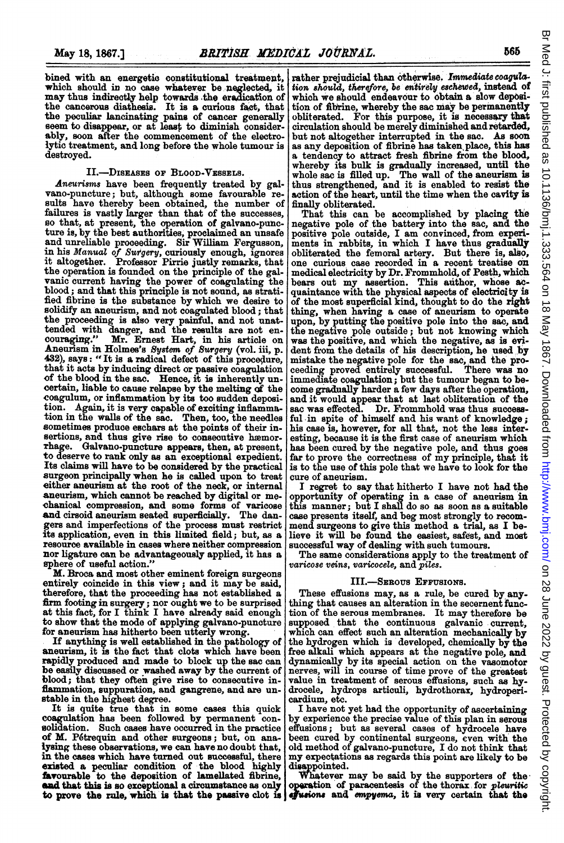bined with an energetic constitutional treatment, which should in no case whatever be neglected, it may thus indirectly help towards .the eradication of the cancerous diathesis. It is a curious fact, that the peculiar lancinating pains of cancer generally seem to disappear, or at least to diminish consider. ably, soon after the commencement of the electrolytic treatment, and long before the whole tumour is destroyed.

## II.-DISEASES OF BLOOD-VESSELS.

Aneurisms have been frequently treated by galvano-puncture; but, although some favourable results have thereby been obtained, the number of failures is vastly larger than that of the successes, so that, at present, the operation of galvano-puncture is, by the best authorities, proclaimed an unsafe and unreliable proceeding. Sir William Fergusson, and unreliable proceeding. Sir William Fergusson, in his Manual of Surgery, curiously enough, ignores it altogether. Professor Pirrie justly remarks, that the operation is founded on the principle of the gal- vanic current having the power of coagulating the blood; and that this principle is not sound, as stratified fibrine is the substance by which we desire to solidify an aneurism, and not coagulated blood; that the proceeding is also very painful, and not unat-tended with danger, and the results are not en couraging." Mr. Ernest Hart, in his article on Aneunsm in Holmes's System of Surgery (vol. iii, p. that it acts by inducing direct or passive coagulation of the blood in the sac. Hence, it is inherently uncertain, liable to cause relapse by the melting of the coagulum, or inflammation by its too sudden deposi tion. Again, it is very capable of exciting inflamma-tion in the walls of the sac. Then, too, the needles sometimes produce eschars at the points of their insertions, and thus give rise to consecutive hæmor-Thage. Galvano-puncture appears, then, at present, to deserve to rank only as an exceptional expedient. Its claims will have to be considered by the practical surgeon principally when he is called upon to treat either aneurism at the root of the neck, or internal aneurism, which cannot be reached by digital or mechanical compression, and some forms of varicose and cirsoid aneurism seated superficially. The dangers and imperfections of the process must restrict its application, even in this limited field; but, as a resource available in cases where neither compression nor ligature can be advantageously applied, it has a sphere of useful action."

M. Broca and most other eminent foreign surgeons entirely coincide in this view; and it may be said, therefore, that the proceeding has not established a firm footing in surgery; nor ought we to be surprised at this fact, for <sup>I</sup> think <sup>I</sup> have already said enough to show that the mode of applying galvano-puncture<br>for aneurism has hitherto been utterly wrong.

If anything is well established in the pathology of aneurism, it is the fact that clots which have been rapidly produced and made to block up the sac can be easily discussed or washed away by the current of blood; that they often give rise to consecutive in flammation, suppuration, and gangrene, and are unstable in the highest degree.

It is quite true that in some cases this quick coagulation has been followed by permanent consolidation. Such cases have occurred in the practice of M. Pétrequin and other surgeons; but, on ana-lysing these observations, we can have no doubt that, in the cases which have turned out successful, there existed <sup>a</sup> peculiar condition of the blood highly favourable to the deposition of lamellated fibrine, and that this is so exceptional a circumstance as only to prove the rule, which is that the passive clot is  $\epsilon$  is and empyema, it is very certain that the

rather prejudicial than otherwise. Immediate coagulation should, therefore, be entirely eschewed, instead of which we should endeavour to obtain a slow deposition of fibrine, whereby the sac may be permanently obliterated. For this purpose, it is necessary that circulation should be merely diminished andretarded, but not altogether interrupted in the sac. As soon as any deposition of fibrine has taken place, this has a tendency to attract fresh fibrine from the blood, whereby its bulk is gradually increased, until the whole sac is filled up. The wall of the aneurism is thus strengthened, and it is enabled to resist the action of the heart, until the time when the cavity is finally obliterated.

that this can be accomplished by placing the negative pole of the battery into the sac, and the positive pole outside, <sup>I</sup> am convinced, from experiments in rabbits, in which I have thus gradually obliterated the femoral artery. But there is, also one curious case recorded in a recent treatise on medical electricity by Dr. Frommhold, of Pesth, which bears out my assertion. This author, whose acquaintance with the physical aspects of electricity is of the most superficial kind, thought to do the right thing, when having a case of aneurism to operate upon, by putting the positive pole into the sac, and the negative pole outside; but not knowing which was the positive, and which the negative, as is evident from the details of his description, he used by mistake the negative pole for the sac, and the pro-ceeding proved entirely successful. There was no immediate coagulation; but the tumour began to become gradually harder a few days after the operation, and it would appear that at last obliteration of the sac was effected. Dr. Frommhold was thus successful in spite of himself and his want of knowledge; his case is, however, for all that, not the less interesting, because it is the first case of aneurism which has been cured by the negative pole, and thus goes far to prove the correctness of my principle, that it is to the use of this pole that we have to look for the cure of aneurism.

I regret to say that hitherto I have not had the opportunity of operating in a case of aneurism in this manner; but I shall do so as soon as a suitable case presents itself, and beg most strongly to recommend surgeons to give this method a trial, as I believe it will be found the easiest, safest, and most successful way of dealing with such tumours.

The same considerations apply to the treatment of varicose veins, varicocele, and piles.

## III.-SEROUS EFFUSIONS.

These effusions may, as a rule, be cured by anything that causes an alteration in the secernent function of the serous membranes. It may therefore be supposed that the continuous galvanic current, which can effect such an alteration mechanically by the hydrogen which is developed, chemically by the free alkali which appears at the negative pole, and dynamically by its special action on the vasomotor nerves, will in course of time prove of the greatest value in treatment of serous effusions, such as hy drocele, hydrops articuli, hydrothorax, hydroperi cardium, etc.

I have not yet had the opportunity of ascertaining by experience the precise value of this plan in serous effusions; but as several cases of hydrocele have been cured by continental surgeons, even with the old method of galvano-puncture, I do not think that my expectations as regards this point are likely to be

disappointed.<br>Whatever may be said by the supporters of the operation of paracentesis of the thorax for pleuritic